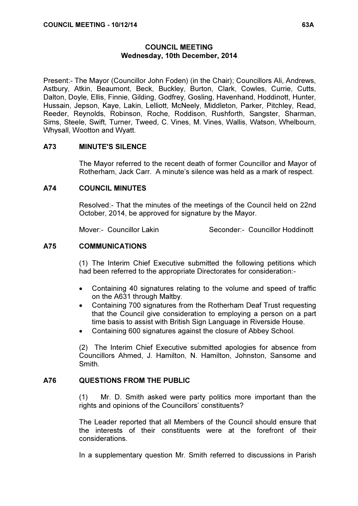### COUNCIL MEETING Wednesday, 10th December, 2014

Present:- The Mayor (Councillor John Foden) (in the Chair); Councillors Ali, Andrews, Astbury, Atkin, Beaumont, Beck, Buckley, Burton, Clark, Cowles, Currie, Cutts, Dalton, Doyle, Ellis, Finnie, Gilding, Godfrey, Gosling, Havenhand, Hoddinott, Hunter, Hussain, Jepson, Kaye, Lakin, Lelliott, McNeely, Middleton, Parker, Pitchley, Read, Reeder, Reynolds, Robinson, Roche, Roddison, Rushforth, Sangster, Sharman, Sims, Steele, Swift, Turner, Tweed, C. Vines, M. Vines, Wallis, Watson, Whelbourn, Whysall, Wootton and Wyatt.

# A73 MINUTE'S SILENCE

 The Mayor referred to the recent death of former Councillor and Mayor of Rotherham, Jack Carr. A minute's silence was held as a mark of respect.

# A74 COUNCIL MINUTES

 Resolved:- That the minutes of the meetings of the Council held on 22nd October, 2014, be approved for signature by the Mayor.

Mover:- Councillor Lakin Seconder:- Councillor Hoddinott

# A75 COMMUNICATIONS

 (1) The Interim Chief Executive submitted the following petitions which had been referred to the appropriate Directorates for consideration:-

- Containing 40 signatures relating to the volume and speed of traffic on the A631 through Maltby.
- Containing 700 signatures from the Rotherham Deaf Trust requesting that the Council give consideration to employing a person on a part time basis to assist with British Sign Language in Riverside House.
- Containing 600 signatures against the closure of Abbey School.

(2) The Interim Chief Executive submitted apologies for absence from Councillors Ahmed, J. Hamilton, N. Hamilton, Johnston, Sansome and Smith.

# A76 QUESTIONS FROM THE PUBLIC

 (1) Mr. D. Smith asked were party politics more important than the rights and opinions of the Councillors' constituents?

The Leader reported that all Members of the Council should ensure that the interests of their constituents were at the forefront of their considerations.

In a supplementary question Mr. Smith referred to discussions in Parish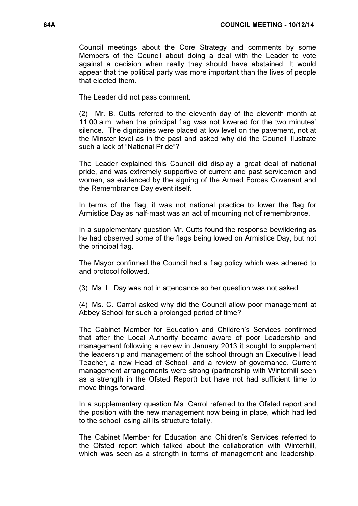Council meetings about the Core Strategy and comments by some Members of the Council about doing a deal with the Leader to vote against a decision when really they should have abstained. It would appear that the political party was more important than the lives of people that elected them.

The Leader did not pass comment.

(2) Mr. B. Cutts referred to the eleventh day of the eleventh month at 11.00 a.m. when the principal flag was not lowered for the two minutes' silence. The dignitaries were placed at low level on the pavement, not at the Minster level as in the past and asked why did the Council illustrate such a lack of "National Pride"?

The Leader explained this Council did display a great deal of national pride, and was extremely supportive of current and past servicemen and women, as evidenced by the signing of the Armed Forces Covenant and the Remembrance Day event itself.

In terms of the flag, it was not national practice to lower the flag for Armistice Day as half-mast was an act of mourning not of remembrance.

In a supplementary question Mr. Cutts found the response bewildering as he had observed some of the flags being lowed on Armistice Day, but not the principal flag.

The Mayor confirmed the Council had a flag policy which was adhered to and protocol followed.

(3) Ms. L. Day was not in attendance so her question was not asked.

(4) Ms. C. Carrol asked why did the Council allow poor management at Abbey School for such a prolonged period of time?

The Cabinet Member for Education and Children's Services confirmed that after the Local Authority became aware of poor Leadership and management following a review in January 2013 it sought to supplement the leadership and management of the school through an Executive Head Teacher, a new Head of School, and a review of governance. Current management arrangements were strong (partnership with Winterhill seen as a strength in the Ofsted Report) but have not had sufficient time to move things forward.

In a supplementary question Ms. Carrol referred to the Ofsted report and the position with the new management now being in place, which had led to the school losing all its structure totally.

The Cabinet Member for Education and Children's Services referred to the Ofsted report which talked about the collaboration with Winterhill, which was seen as a strength in terms of management and leadership,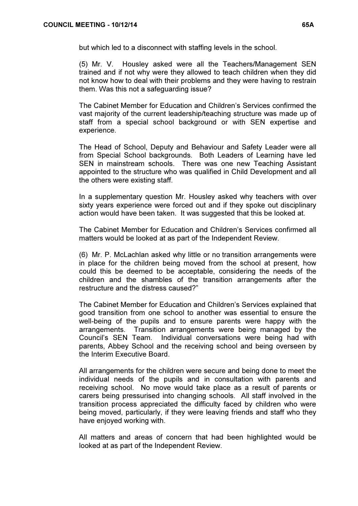but which led to a disconnect with staffing levels in the school.

(5) Mr. V. Housley asked were all the Teachers/Management SEN trained and if not why were they allowed to teach children when they did not know how to deal with their problems and they were having to restrain them. Was this not a safeguarding issue?

The Cabinet Member for Education and Children's Services confirmed the vast majority of the current leadership/teaching structure was made up of staff from a special school background or with SEN expertise and experience.

The Head of School, Deputy and Behaviour and Safety Leader were all from Special School backgrounds. Both Leaders of Learning have led SEN in mainstream schools. There was one new Teaching Assistant appointed to the structure who was qualified in Child Development and all the others were existing staff.

In a supplementary question Mr. Housley asked why teachers with over sixty years experience were forced out and if they spoke out disciplinary action would have been taken. It was suggested that this be looked at.

The Cabinet Member for Education and Children's Services confirmed all matters would be looked at as part of the Independent Review.

(6) Mr. P. McLachlan asked why little or no transition arrangements were in place for the children being moved from the school at present, how could this be deemed to be acceptable, considering the needs of the children and the shambles of the transition arrangements after the restructure and the distress caused?"

The Cabinet Member for Education and Children's Services explained that good transition from one school to another was essential to ensure the well-being of the pupils and to ensure parents were happy with the arrangements. Transition arrangements were being managed by the Council's SEN Team. Individual conversations were being had with parents, Abbey School and the receiving school and being overseen by the Interim Executive Board.

All arrangements for the children were secure and being done to meet the individual needs of the pupils and in consultation with parents and receiving school. No move would take place as a result of parents or carers being pressurised into changing schools. All staff involved in the transition process appreciated the difficulty faced by children who were being moved, particularly, if they were leaving friends and staff who they have enjoyed working with.

All matters and areas of concern that had been highlighted would be looked at as part of the Independent Review.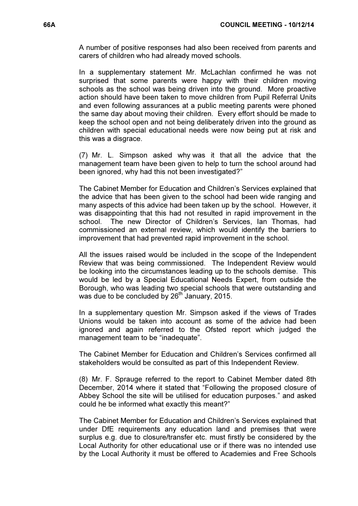A number of positive responses had also been received from parents and carers of children who had already moved schools.

In a supplementary statement Mr. McLachlan confirmed he was not surprised that some parents were happy with their children moving schools as the school was being driven into the ground. More proactive action should have been taken to move children from Pupil Referral Units and even following assurances at a public meeting parents were phoned the same day about moving their children. Every effort should be made to keep the school open and not being deliberately driven into the ground as children with special educational needs were now being put at risk and this was a disgrace.

(7) Mr. L. Simpson asked why was it that all the advice that the management team have been given to help to turn the school around had been ignored, why had this not been investigated?"

The Cabinet Member for Education and Children's Services explained that the advice that has been given to the school had been wide ranging and many aspects of this advice had been taken up by the school. However, it was disappointing that this had not resulted in rapid improvement in the school. The new Director of Children's Services, Ian Thomas, had commissioned an external review, which would identify the barriers to improvement that had prevented rapid improvement in the school.

All the issues raised would be included in the scope of the Independent Review that was being commissioned. The Independent Review would be looking into the circumstances leading up to the schools demise. This would be led by a Special Educational Needs Expert, from outside the Borough, who was leading two special schools that were outstanding and was due to be concluded by  $26<sup>th</sup>$  January, 2015.

In a supplementary question Mr. Simpson asked if the views of Trades Unions would be taken into account as some of the advice had been ignored and again referred to the Ofsted report which judged the management team to be "inadequate".

The Cabinet Member for Education and Children's Services confirmed all stakeholders would be consulted as part of this Independent Review.

(8) Mr. F. Sprauge referred to the report to Cabinet Member dated 8th December, 2014 where it stated that "Following the proposed closure of Abbey School the site will be utilised for education purposes." and asked could he be informed what exactly this meant?"

The Cabinet Member for Education and Children's Services explained that under DfE requirements any education land and premises that were surplus e.g. due to closure/transfer etc. must firstly be considered by the Local Authority for other educational use or if there was no intended use by the Local Authority it must be offered to Academies and Free Schools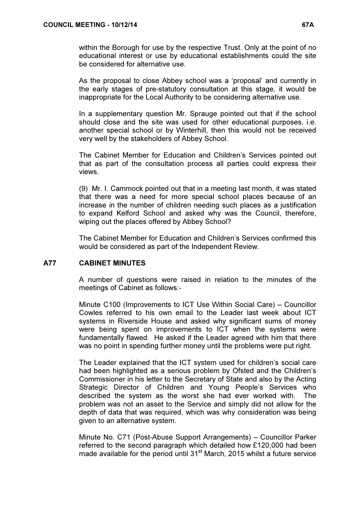within the Borough for use by the respective Trust. Only at the point of no educational interest or use by educational establishments could the site be considered for alternative use.

As the proposal to close Abbey school was a 'proposal' and currently in the early stages of pre-statutory consultation at this stage, it would be inappropriate for the Local Authority to be considering alternative use.

In a supplementary question Mr. Sprauge pointed out that if the school should close and the site was used for other educational purposes, i.e. another special school or by Winterhill, then this would not be received very well by the stakeholders of Abbey School.

The Cabinet Member for Education and Children's Services pointed out that as part of the consultation process all parties could express their views.

(9) Mr. I. Cammock pointed out that in a meeting last month, it was stated that there was a need for more special school places because of an increase in the number of children needing such places as a justification to expand Kelford School and asked why was the Council, therefore, wiping out the places offered by Abbey School?

The Cabinet Member for Education and Children's Services confirmed this would be considered as part of the Independent Review.

# A77 CABINET MINUTES

 A number of questions were raised in relation to the minutes of the meetings of Cabinet as follows:-

Minute C100 (Improvements to ICT Use Within Social Care) – Councillor Cowles referred to his own email to the Leader last week about ICT systems in Riverside House and asked why significant sums of money were being spent on improvements to ICT when the systems were fundamentally flawed. He asked if the Leader agreed with him that there was no point in spending further money until the problems were put right.

The Leader explained that the ICT system used for children's social care had been highlighted as a serious problem by Ofsted and the Children's Commissioner in his letter to the Secretary of State and also by the Acting Strategic Director of Children and Young People's Services who described the system as the worst she had ever worked with. The problem was not an asset to the Service and simply did not allow for the depth of data that was required, which was why consideration was being given to an alternative system.

Minute No. C71 (Post-Abuse Support Arrangements) – Councillor Parker referred to the second paragraph which detailed how £120,000 had been made available for the period until 31<sup>st</sup> March, 2015 whilst a future service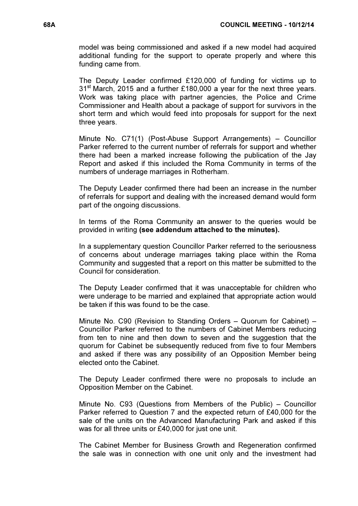model was being commissioned and asked if a new model had acquired additional funding for the support to operate properly and where this funding came from.

The Deputy Leader confirmed £120,000 of funding for victims up to 31<sup>st</sup> March, 2015 and a further £180,000 a year for the next three years. Work was taking place with partner agencies, the Police and Crime Commissioner and Health about a package of support for survivors in the short term and which would feed into proposals for support for the next three years.

Minute No. C71(1) (Post-Abuse Support Arrangements) – Councillor Parker referred to the current number of referrals for support and whether there had been a marked increase following the publication of the Jay Report and asked if this included the Roma Community in terms of the numbers of underage marriages in Rotherham.

The Deputy Leader confirmed there had been an increase in the number of referrals for support and dealing with the increased demand would form part of the ongoing discussions.

In terms of the Roma Community an answer to the queries would be provided in writing (see addendum attached to the minutes).

In a supplementary question Councillor Parker referred to the seriousness of concerns about underage marriages taking place within the Roma Community and suggested that a report on this matter be submitted to the Council for consideration.

The Deputy Leader confirmed that it was unacceptable for children who were underage to be married and explained that appropriate action would be taken if this was found to be the case.

Minute No. C90 (Revision to Standing Orders – Quorum for Cabinet) – Councillor Parker referred to the numbers of Cabinet Members reducing from ten to nine and then down to seven and the suggestion that the quorum for Cabinet be subsequently reduced from five to four Members and asked if there was any possibility of an Opposition Member being elected onto the Cabinet.

The Deputy Leader confirmed there were no proposals to include an Opposition Member on the Cabinet.

Minute No. C93 (Questions from Members of the Public) – Councillor Parker referred to Question 7 and the expected return of £40,000 for the sale of the units on the Advanced Manufacturing Park and asked if this was for all three units or £40,000 for just one unit.

The Cabinet Member for Business Growth and Regeneration confirmed the sale was in connection with one unit only and the investment had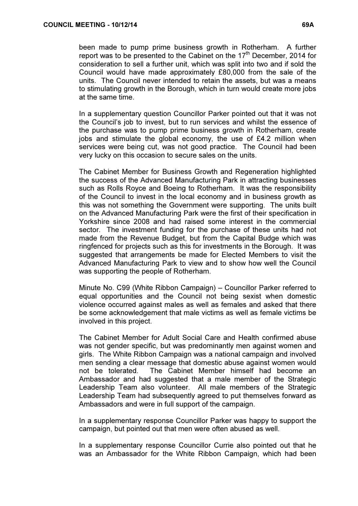In a supplementary question Councillor Parker pointed out that it was not the Council's job to invest, but to run services and whilst the essence of the purchase was to pump prime business growth in Rotherham, create jobs and stimulate the global economy, the use of £4.2 million when services were being cut, was not good practice. The Council had been very lucky on this occasion to secure sales on the units.

The Cabinet Member for Business Growth and Regeneration highlighted the success of the Advanced Manufacturing Park in attracting businesses such as Rolls Royce and Boeing to Rotherham. It was the responsibility of the Council to invest in the local economy and in business growth as this was not something the Government were supporting. The units built on the Advanced Manufacturing Park were the first of their specification in Yorkshire since 2008 and had raised some interest in the commercial sector. The investment funding for the purchase of these units had not made from the Revenue Budget, but from the Capital Budge which was ringfenced for projects such as this for investments in the Borough. It was suggested that arrangements be made for Elected Members to visit the Advanced Manufacturing Park to view and to show how well the Council was supporting the people of Rotherham.

Minute No. C99 (White Ribbon Campaign) – Councillor Parker referred to equal opportunities and the Council not being sexist when domestic violence occurred against males as well as females and asked that there be some acknowledgement that male victims as well as female victims be involved in this project.

The Cabinet Member for Adult Social Care and Health confirmed abuse was not gender specific, but was predominantly men against women and girls. The White Ribbon Campaign was a national campaign and involved men sending a clear message that domestic abuse against women would not be tolerated. The Cabinet Member himself had become an Ambassador and had suggested that a male member of the Strategic Leadership Team also volunteer. All male members of the Strategic Leadership Team had subsequently agreed to put themselves forward as Ambassadors and were in full support of the campaign.

In a supplementary response Councillor Parker was happy to support the campaign, but pointed out that men were often abused as well.

In a supplementary response Councillor Currie also pointed out that he was an Ambassador for the White Ribbon Campaign, which had been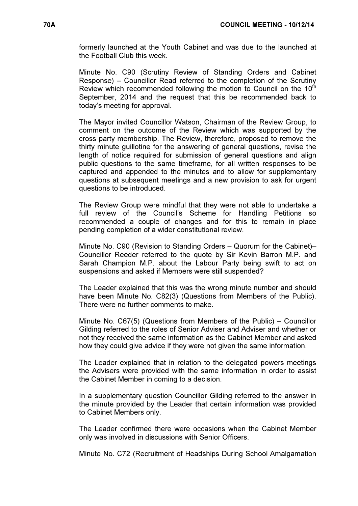formerly launched at the Youth Cabinet and was due to the launched at the Football Club this week.

Minute No. C90 (Scrutiny Review of Standing Orders and Cabinet Response) – Councillor Read referred to the completion of the Scrutiny Review which recommended following the motion to Council on the  $10<sup>th</sup>$ September, 2014 and the request that this be recommended back to today's meeting for approval.

The Mayor invited Councillor Watson, Chairman of the Review Group, to comment on the outcome of the Review which was supported by the cross party membership. The Review, therefore, proposed to remove the thirty minute guillotine for the answering of general questions, revise the length of notice required for submission of general questions and align public questions to the same timeframe, for all written responses to be captured and appended to the minutes and to allow for supplementary questions at subsequent meetings and a new provision to ask for urgent questions to be introduced.

The Review Group were mindful that they were not able to undertake a full review of the Council's Scheme for Handling Petitions so recommended a couple of changes and for this to remain in place pending completion of a wider constitutional review.

Minute No. C90 (Revision to Standing Orders – Quorum for the Cabinet)– Councillor Reeder referred to the quote by Sir Kevin Barron M.P. and Sarah Champion M.P. about the Labour Party being swift to act on suspensions and asked if Members were still suspended?

The Leader explained that this was the wrong minute number and should have been Minute No. C82(3) (Questions from Members of the Public). There were no further comments to make.

Minute No. C67(5) (Questions from Members of the Public) – Councillor Gilding referred to the roles of Senior Adviser and Adviser and whether or not they received the same information as the Cabinet Member and asked how they could give advice if they were not given the same information.

The Leader explained that in relation to the delegated powers meetings the Advisers were provided with the same information in order to assist the Cabinet Member in coming to a decision.

In a supplementary question Councillor Gilding referred to the answer in the minute provided by the Leader that certain information was provided to Cabinet Members only.

The Leader confirmed there were occasions when the Cabinet Member only was involved in discussions with Senior Officers.

Minute No. C72 (Recruitment of Headships During School Amalgamation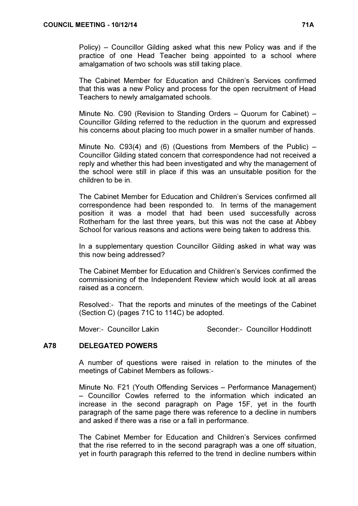Policy) – Councillor Gilding asked what this new Policy was and if the practice of one Head Teacher being appointed to a school where amalgamation of two schools was still taking place.

The Cabinet Member for Education and Children's Services confirmed that this was a new Policy and process for the open recruitment of Head Teachers to newly amalgamated schools.

Minute No. C90 (Revision to Standing Orders – Quorum for Cabinet) – Councillor Gilding referred to the reduction in the quorum and expressed his concerns about placing too much power in a smaller number of hands.

Minute No. C93(4) and (6) (Questions from Members of the Public)  $-$ Councillor Gilding stated concern that correspondence had not received a reply and whether this had been investigated and why the management of the school were still in place if this was an unsuitable position for the children to be in.

The Cabinet Member for Education and Children's Services confirmed all correspondence had been responded to. In terms of the management position it was a model that had been used successfully across Rotherham for the last three years, but this was not the case at Abbey School for various reasons and actions were being taken to address this.

In a supplementary question Councillor Gilding asked in what way was this now being addressed?

The Cabinet Member for Education and Children's Services confirmed the commissioning of the Independent Review which would look at all areas raised as a concern.

Resolved:- That the reports and minutes of the meetings of the Cabinet (Section C) (pages 71C to 114C) be adopted.

Mover:- Councillor Lakin Seconder:- Councillor Hoddinott

# A78 DELEGATED POWERS

 A number of questions were raised in relation to the minutes of the meetings of Cabinet Members as follows:-

Minute No. F21 (Youth Offending Services – Performance Management) – Councillor Cowles referred to the information which indicated an increase in the second paragraph on Page 15F, yet in the fourth paragraph of the same page there was reference to a decline in numbers and asked if there was a rise or a fall in performance.

The Cabinet Member for Education and Children's Services confirmed that the rise referred to in the second paragraph was a one off situation, yet in fourth paragraph this referred to the trend in decline numbers within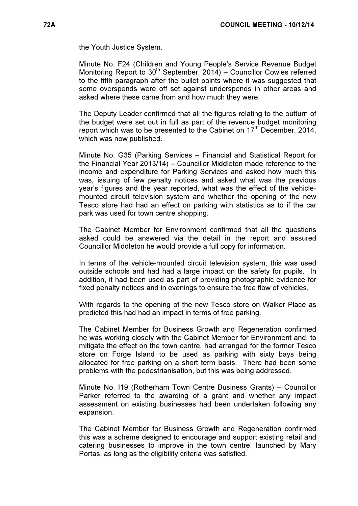the Youth Justice System.

Minute No. F24 (Children and Young People's Service Revenue Budget Monitoring Report to  $30<sup>th</sup>$  September, 2014) – Councillor Cowles referred to the fifth paragraph after the bullet points where it was suggested that some overspends were off set against underspends in other areas and asked where these came from and how much they were.

The Deputy Leader confirmed that all the figures relating to the outturn of the budget were set out in full as part of the revenue budget monitoring report which was to be presented to the Cabinet on  $17<sup>th</sup>$  December, 2014. which was now published.

Minute No. G35 (Parking Services – Financial and Statistical Report for the Financial Year 2013/14) – Councillor Middleton made reference to the income and expenditure for Parking Services and asked how much this was, issuing of few penalty notices and asked what was the previous year's figures and the year reported, what was the effect of the vehiclemounted circuit television system and whether the opening of the new Tesco store had had an effect on parking with statistics as to if the car park was used for town centre shopping.

The Cabinet Member for Environment confirmed that all the questions asked could be answered via the detail in the report and assured Councillor Middleton he would provide a full copy for information.

In terms of the vehicle-mounted circuit television system, this was used outside schools and had had a large impact on the safety for pupils. In addition, it had been used as part of providing photographic evidence for fixed penalty notices and in evenings to ensure the free flow of vehicles.

With regards to the opening of the new Tesco store on Walker Place as predicted this had had an impact in terms of free parking.

The Cabinet Member for Business Growth and Regeneration confirmed he was working closely with the Cabinet Member for Environment and, to mitigate the effect on the town centre, had arranged for the former Tesco store on Forge Island to be used as parking with sixty bays being allocated for free parking on a short term basis. There had been some problems with the pedestrianisation, but this was being addressed.

Minute No. I19 (Rotherham Town Centre Business Grants) – Councillor Parker referred to the awarding of a grant and whether any impact assessment on existing businesses had been undertaken following any expansion.

The Cabinet Member for Business Growth and Regeneration confirmed this was a scheme designed to encourage and support existing retail and catering businesses to improve in the town centre, launched by Mary Portas, as long as the eligibility criteria was satisfied.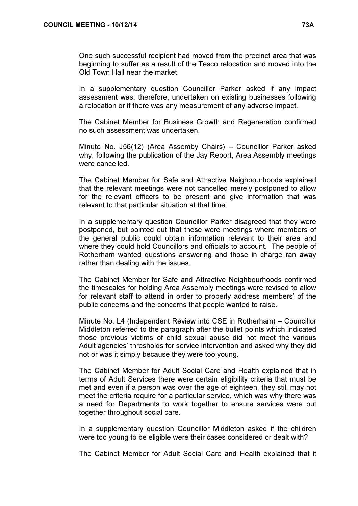One such successful recipient had moved from the precinct area that was beginning to suffer as a result of the Tesco relocation and moved into the Old Town Hall near the market.

In a supplementary question Councillor Parker asked if any impact assessment was, therefore, undertaken on existing businesses following a relocation or if there was any measurement of any adverse impact.

The Cabinet Member for Business Growth and Regeneration confirmed no such assessment was undertaken.

Minute No. J56(12) (Area Assemby Chairs) – Councillor Parker asked why, following the publication of the Jay Report, Area Assembly meetings were cancelled.

The Cabinet Member for Safe and Attractive Neighbourhoods explained that the relevant meetings were not cancelled merely postponed to allow for the relevant officers to be present and give information that was relevant to that particular situation at that time.

In a supplementary question Councillor Parker disagreed that they were postponed, but pointed out that these were meetings where members of the general public could obtain information relevant to their area and where they could hold Councillors and officials to account. The people of Rotherham wanted questions answering and those in charge ran away rather than dealing with the issues.

The Cabinet Member for Safe and Attractive Neighbourhoods confirmed the timescales for holding Area Assembly meetings were revised to allow for relevant staff to attend in order to properly address members' of the public concerns and the concerns that people wanted to raise.

Minute No. L4 (Independent Review into CSE in Rotherham) – Councillor Middleton referred to the paragraph after the bullet points which indicated those previous victims of child sexual abuse did not meet the various Adult agencies' thresholds for service intervention and asked why they did not or was it simply because they were too young.

The Cabinet Member for Adult Social Care and Health explained that in terms of Adult Services there were certain eligibility criteria that must be met and even if a person was over the age of eighteen, they still may not meet the criteria require for a particular service, which was why there was a need for Departments to work together to ensure services were put together throughout social care.

In a supplementary question Councillor Middleton asked if the children were too young to be eligible were their cases considered or dealt with?

The Cabinet Member for Adult Social Care and Health explained that it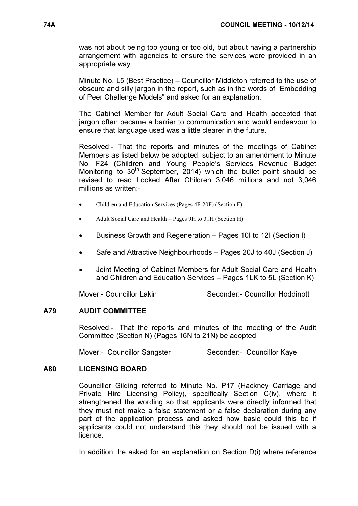was not about being too young or too old, but about having a partnership arrangement with agencies to ensure the services were provided in an appropriate way.

Minute No. L5 (Best Practice) – Councillor Middleton referred to the use of obscure and silly jargon in the report, such as in the words of "Embedding of Peer Challenge Models" and asked for an explanation.

The Cabinet Member for Adult Social Care and Health accepted that jargon often became a barrier to communication and would endeavour to ensure that language used was a little clearer in the future.

Resolved:- That the reports and minutes of the meetings of Cabinet Members as listed below be adopted, subject to an amendment to Minute No. F24 (Children and Young People's Services Revenue Budget Monitoring to 30<sup>th</sup> September, 2014) which the bullet point should be revised to read Looked After Children 3.046 millions and not 3,046 millions as written:-

- Children and Education Services (Pages 4F-20F) (Section F)
- Adult Social Care and Health Pages 9H to 31H (Section H)
- Business Growth and Regeneration Pages 10I to 12I (Section I)
- Safe and Attractive Neighbourhoods Pages 20J to 40J (Section J)
- Joint Meeting of Cabinet Members for Adult Social Care and Health and Children and Education Services – Pages 1LK to 5L (Section K)

Mover:- Councillor Lakin Seconder:- Councillor Hoddinott

### A79 AUDIT COMMITTEE

 Resolved:- That the reports and minutes of the meeting of the Audit Committee (Section N) (Pages 16N to 21N) be adopted.

Mover:- Councillor Sangster Seconder:- Councillor Kaye

### A80 LICENSING BOARD

 Councillor Gilding referred to Minute No. P17 (Hackney Carriage and Private Hire Licensing Policy), specifically Section C(iv), where it strengthened the wording so that applicants were directly informed that they must not make a false statement or a false declaration during any part of the application process and asked how basic could this be if applicants could not understand this they should not be issued with a licence.

In addition, he asked for an explanation on Section D(i) where reference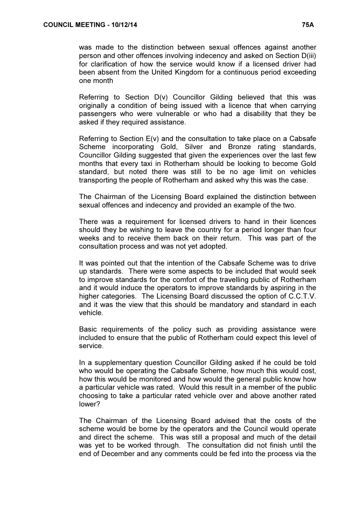Referring to Section D(v) Councillor Gilding believed that this was originally a condition of being issued with a licence that when carrying passengers who were vulnerable or who had a disability that they be asked if they required assistance.

Referring to Section E(v) and the consultation to take place on a Cabsafe Scheme incorporating Gold, Silver and Bronze rating standards, Councillor Gilding suggested that given the experiences over the last few months that every taxi in Rotherham should be looking to become Gold standard, but noted there was still to be no age limit on vehicles transporting the people of Rotherham and asked why this was the case.

The Chairman of the Licensing Board explained the distinction between sexual offences and indecency and provided an example of the two.

There was a requirement for licensed drivers to hand in their licences should they be wishing to leave the country for a period longer than four weeks and to receive them back on their return. This was part of the consultation process and was not yet adopted.

It was pointed out that the intention of the Cabsafe Scheme was to drive up standards. There were some aspects to be included that would seek to improve standards for the comfort of the travelling public of Rotherham and it would induce the operators to improve standards by aspiring in the higher categories. The Licensing Board discussed the option of C.C.T.V. and it was the view that this should be mandatory and standard in each vehicle.

Basic requirements of the policy such as providing assistance were included to ensure that the public of Rotherham could expect this level of service.

In a supplementary question Councillor Gilding asked if he could be told who would be operating the Cabsafe Scheme, how much this would cost, how this would be monitored and how would the general public know how a particular vehicle was rated. Would this result in a member of the public choosing to take a particular rated vehicle over and above another rated lower?

The Chairman of the Licensing Board advised that the costs of the scheme would be borne by the operators and the Council would operate and direct the scheme. This was still a proposal and much of the detail was yet to be worked through. The consultation did not finish until the end of December and any comments could be fed into the process via the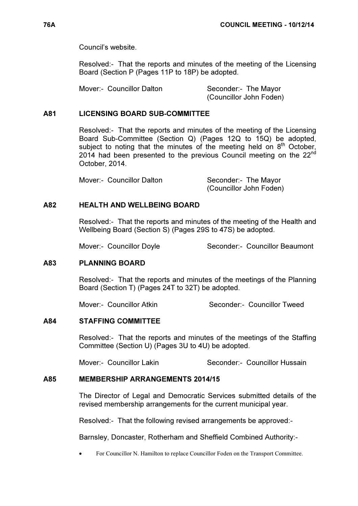Council's website.

Resolved:- That the reports and minutes of the meeting of the Licensing Board (Section P (Pages 11P to 18P) be adopted.

Mover:- Councillor Dalton Seconder:- The Mayor

(Councillor John Foden)

### A81 LICENSING BOARD SUB-COMMITTEE

 Resolved:- That the reports and minutes of the meeting of the Licensing Board Sub-Committee (Section Q) (Pages 12Q to 15Q) be adopted, subject to noting that the minutes of the meeting held on  $8<sup>th</sup>$  October, 2014 had been presented to the previous Council meeting on the 22<sup>nd</sup> October, 2014.

Mover:- Councillor Dalton Seconder:- The Mayor

(Councillor John Foden)

# A82 HEALTH AND WELL BEING BOARD

 Resolved:- That the reports and minutes of the meeting of the Health and Wellbeing Board (Section S) (Pages 29S to 47S) be adopted.

Mover:- Councillor Doyle Seconder:- Councillor Beaumont

# A83 PLANNING BOARD

 Resolved:- That the reports and minutes of the meetings of the Planning Board (Section T) (Pages 24T to 32T) be adopted.

Mover:- Councillor Atkin Seconder:- Councillor Tweed

### A84 STAFFING COMMITTEE

 Resolved:- That the reports and minutes of the meetings of the Staffing Committee (Section U) (Pages 3U to 4U) be adopted.

Mover:- Councillor Lakin Seconder:- Councillor Hussain

# A85 MEMBERSHIP ARRANGEMENTS 2014/15

 The Director of Legal and Democratic Services submitted details of the revised membership arrangements for the current municipal year.

Resolved:- That the following revised arrangements be approved:-

Barnsley, Doncaster, Rotherham and Sheffield Combined Authority:-

• For Councillor N. Hamilton to replace Councillor Foden on the Transport Committee.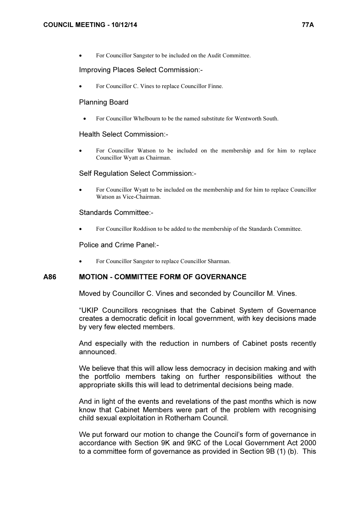• For Councillor Sangster to be included on the Audit Committee.

#### Improving Places Select Commission:-

For Councillor C. Vines to replace Councillor Finne.

#### Planning Board

• For Councillor Whelbourn to be the named substitute for Wentworth South.

#### Health Select Commission:-

• For Councillor Watson to be included on the membership and for him to replace Councillor Wyatt as Chairman.

#### Self Regulation Select Commission:-

• For Councillor Wyatt to be included on the membership and for him to replace Councillor Watson as Vice-Chairman.

#### Standards Committee:-

• For Councillor Roddison to be added to the membership of the Standards Committee.

#### Police and Crime Panel:-

• For Councillor Sangster to replace Councillor Sharman.

### A86 MOTION - COMMITTEE FORM OF GOVERNANCE

Moved by Councillor C. Vines and seconded by Councillor M. Vines.

"UKIP Councillors recognises that the Cabinet System of Governance creates a democratic deficit in local government, with key decisions made by very few elected members.

And especially with the reduction in numbers of Cabinet posts recently announced.

We believe that this will allow less democracy in decision making and with the portfolio members taking on further responsibilities without the appropriate skills this will lead to detrimental decisions being made.

And in light of the events and revelations of the past months which is now know that Cabinet Members were part of the problem with recognising child sexual exploitation in Rotherham Council.

We put forward our motion to change the Council's form of governance in accordance with Section 9K and 9KC of the Local Government Act 2000 to a committee form of governance as provided in Section 9B (1) (b). This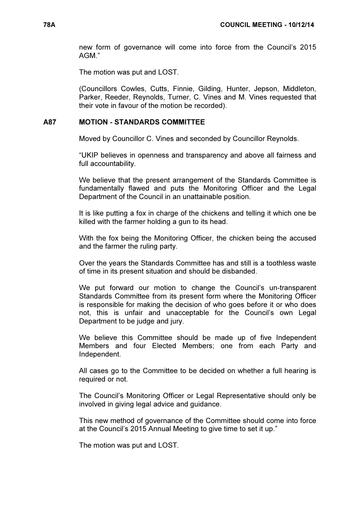new form of governance will come into force from the Council's 2015 AGM."

The motion was put and LOST.

(Councillors Cowles, Cutts, Finnie, Gilding, Hunter, Jepson, Middleton, Parker, Reeder, Reynolds, Turner, C. Vines and M. Vines requested that their vote in favour of the motion be recorded).

#### A87 MOTION - STANDARDS COMMITTEE

Moved by Councillor C. Vines and seconded by Councillor Reynolds.

"UKIP believes in openness and transparency and above all fairness and full accountability.

We believe that the present arrangement of the Standards Committee is fundamentally flawed and puts the Monitoring Officer and the Legal Department of the Council in an unattainable position.

It is like putting a fox in charge of the chickens and telling it which one be killed with the farmer holding a gun to its head.

With the fox being the Monitoring Officer, the chicken being the accused and the farmer the ruling party.

Over the years the Standards Committee has and still is a toothless waste of time in its present situation and should be disbanded.

We put forward our motion to change the Council's un-transparent Standards Committee from its present form where the Monitoring Officer is responsible for making the decision of who goes before it or who does not, this is unfair and unacceptable for the Council's own Legal Department to be judge and jury.

We believe this Committee should be made up of five Independent Members and four Elected Members; one from each Party and Independent.

All cases go to the Committee to be decided on whether a full hearing is required or not.

The Council's Monitoring Officer or Legal Representative should only be involved in giving legal advice and guidance.

This new method of governance of the Committee should come into force at the Council's 2015 Annual Meeting to give time to set it up."

The motion was put and LOST.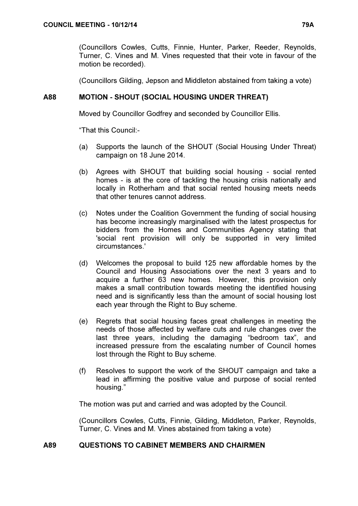(Councillors Cowles, Cutts, Finnie, Hunter, Parker, Reeder, Reynolds, Turner, C. Vines and M. Vines requested that their vote in favour of the motion be recorded).

(Councillors Gilding, Jepson and Middleton abstained from taking a vote)

# A88 MOTION - SHOUT (SOCIAL HOUSING UNDER THREAT)

Moved by Councillor Godfrey and seconded by Councillor Ellis.

"That this Council:-

- (a) Supports the launch of the SHOUT (Social Housing Under Threat) campaign on 18 June 2014.
- (b) Agrees with SHOUT that building social housing social rented homes - is at the core of tackling the housing crisis nationally and locally in Rotherham and that social rented housing meets needs that other tenures cannot address.
- (c) Notes under the Coalition Government the funding of social housing has become increasingly marginalised with the latest prospectus for bidders from the Homes and Communities Agency stating that 'social rent provision will only be supported in very limited circumstances.'
- (d) Welcomes the proposal to build 125 new affordable homes by the Council and Housing Associations over the next 3 years and to acquire a further 63 new homes. However, this provision only makes a small contribution towards meeting the identified housing need and is significantly less than the amount of social housing lost each year through the Right to Buy scheme.
- (e) Regrets that social housing faces great challenges in meeting the needs of those affected by welfare cuts and rule changes over the last three years, including the damaging "bedroom tax", and increased pressure from the escalating number of Council homes lost through the Right to Buy scheme.
- (f) Resolves to support the work of the SHOUT campaign and take a lead in affirming the positive value and purpose of social rented housing."

The motion was put and carried and was adopted by the Council.

(Councillors Cowles, Cutts, Finnie, Gilding, Middleton, Parker, Reynolds, Turner, C. Vines and M. Vines abstained from taking a vote)

# A89 QUESTIONS TO CABINET MEMBERS AND CHAIRMEN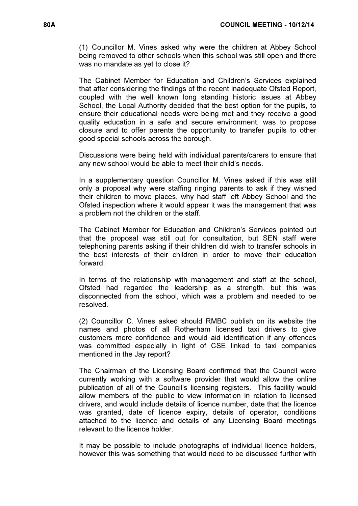(1) Councillor M. Vines asked why were the children at Abbey School being removed to other schools when this school was still open and there was no mandate as yet to close it?

The Cabinet Member for Education and Children's Services explained that after considering the findings of the recent inadequate Ofsted Report, coupled with the well known long standing historic issues at Abbey School, the Local Authority decided that the best option for the pupils, to ensure their educational needs were being met and they receive a good quality education in a safe and secure environment, was to propose closure and to offer parents the opportunity to transfer pupils to other good special schools across the borough.

Discussions were being held with individual parents/carers to ensure that any new school would be able to meet their child's needs.

In a supplementary question Councillor M. Vines asked if this was still only a proposal why were staffing ringing parents to ask if they wished their children to move places, why had staff left Abbey School and the Ofsted inspection where it would appear it was the management that was a problem not the children or the staff.

The Cabinet Member for Education and Children's Services pointed out that the proposal was still out for consultation, but SEN staff were telephoning parents asking if their children did wish to transfer schools in the best interests of their children in order to move their education forward.

In terms of the relationship with management and staff at the school, Ofsted had regarded the leadership as a strength, but this was disconnected from the school, which was a problem and needed to be resolved.

(2) Councillor C. Vines asked should RMBC publish on its website the names and photos of all Rotherham licensed taxi drivers to give customers more confidence and would aid identification if any offences was committed especially in light of CSE linked to taxi companies mentioned in the Jay report?

The Chairman of the Licensing Board confirmed that the Council were currently working with a software provider that would allow the online publication of all of the Council's licensing registers. This facility would allow members of the public to view information in relation to licensed drivers, and would include details of licence number, date that the licence was granted, date of licence expiry, details of operator, conditions attached to the licence and details of any Licensing Board meetings relevant to the licence holder.

It may be possible to include photographs of individual licence holders, however this was something that would need to be discussed further with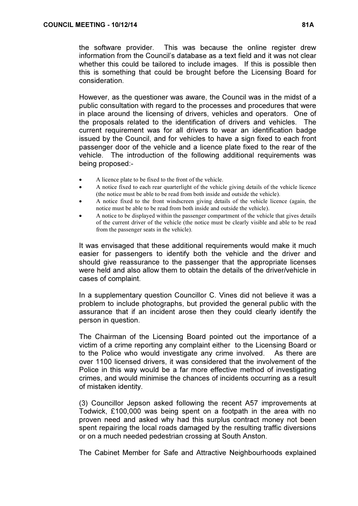the software provider. This was because the online register drew information from the Council's database as a text field and it was not clear whether this could be tailored to include images. If this is possible then this is something that could be brought before the Licensing Board for consideration.

However, as the questioner was aware, the Council was in the midst of a public consultation with regard to the processes and procedures that were in place around the licensing of drivers, vehicles and operators. One of the proposals related to the identification of drivers and vehicles. The current requirement was for all drivers to wear an identification badge issued by the Council, and for vehicles to have a sign fixed to each front passenger door of the vehicle and a licence plate fixed to the rear of the vehicle. The introduction of the following additional requirements was being proposed:-

- A licence plate to be fixed to the front of the vehicle.
- A notice fixed to each rear quarterlight of the vehicle giving details of the vehicle licence (the notice must be able to be read from both inside and outside the vehicle).
- A notice fixed to the front windscreen giving details of the vehicle licence (again, the notice must be able to be read from both inside and outside the vehicle).
- A notice to be displayed within the passenger compartment of the vehicle that gives details of the current driver of the vehicle (the notice must be clearly visible and able to be read from the passenger seats in the vehicle).

It was envisaged that these additional requirements would make it much easier for passengers to identify both the vehicle and the driver and should give reassurance to the passenger that the appropriate licenses were held and also allow them to obtain the details of the driver/vehicle in cases of complaint.

In a supplementary question Councillor C. Vines did not believe it was a problem to include photographs, but provided the general public with the assurance that if an incident arose then they could clearly identify the person in question.

The Chairman of the Licensing Board pointed out the importance of a victim of a crime reporting any complaint either to the Licensing Board or to the Police who would investigate any crime involved. As there are over 1100 licensed drivers, it was considered that the involvement of the Police in this way would be a far more effective method of investigating crimes, and would minimise the chances of incidents occurring as a result of mistaken identity.

(3) Councillor Jepson asked following the recent A57 improvements at Todwick, £100,000 was being spent on a footpath in the area with no proven need and asked why had this surplus contract money not been spent repairing the local roads damaged by the resulting traffic diversions or on a much needed pedestrian crossing at South Anston.

The Cabinet Member for Safe and Attractive Neighbourhoods explained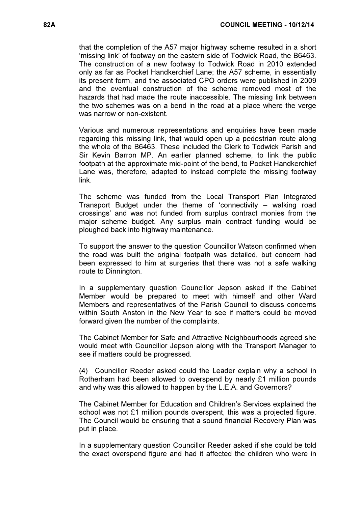that the completion of the A57 major highway scheme resulted in a short 'missing link' of footway on the eastern side of Todwick Road, the B6463. The construction of a new footway to Todwick Road in 2010 extended only as far as Pocket Handkerchief Lane; the A57 scheme, in essentially its present form, and the associated CPO orders were published in 2009 and the eventual construction of the scheme removed most of the hazards that had made the route inaccessible. The missing link between the two schemes was on a bend in the road at a place where the verge was narrow or non-existent.

Various and numerous representations and enquiries have been made regarding this missing link, that would open up a pedestrian route along the whole of the B6463. These included the Clerk to Todwick Parish and Sir Kevin Barron MP. An earlier planned scheme, to link the public footpath at the approximate mid-point of the bend, to Pocket Handkerchief Lane was, therefore, adapted to instead complete the missing footway link.

The scheme was funded from the Local Transport Plan Integrated Transport Budget under the theme of 'connectivity – walking road crossings' and was not funded from surplus contract monies from the major scheme budget. Any surplus main contract funding would be ploughed back into highway maintenance.

To support the answer to the question Councillor Watson confirmed when the road was built the original footpath was detailed, but concern had been expressed to him at surgeries that there was not a safe walking route to Dinnington.

In a supplementary question Councillor Jepson asked if the Cabinet Member would be prepared to meet with himself and other Ward Members and representatives of the Parish Council to discuss concerns within South Anston in the New Year to see if matters could be moved forward given the number of the complaints.

The Cabinet Member for Safe and Attractive Neighbourhoods agreed she would meet with Councillor Jepson along with the Transport Manager to see if matters could be progressed.

(4) Councillor Reeder asked could the Leader explain why a school in Rotherham had been allowed to overspend by nearly £1 million pounds and why was this allowed to happen by the L.E.A. and Governors?

The Cabinet Member for Education and Children's Services explained the school was not £1 million pounds overspent, this was a projected figure. The Council would be ensuring that a sound financial Recovery Plan was put in place.

In a supplementary question Councillor Reeder asked if she could be told the exact overspend figure and had it affected the children who were in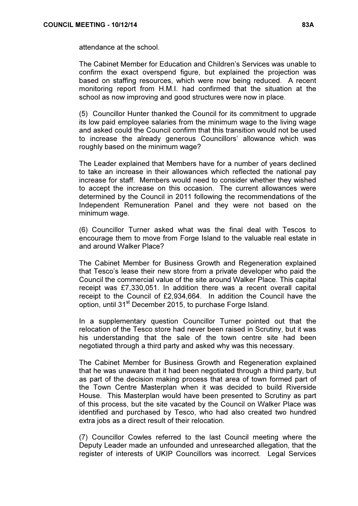attendance at the school.

The Cabinet Member for Education and Children's Services was unable to confirm the exact overspend figure, but explained the projection was based on staffing resources, which were now being reduced. A recent monitoring report from H.M.I. had confirmed that the situation at the school as now improving and good structures were now in place.

(5) Councillor Hunter thanked the Council for its commitment to upgrade its low paid employee salaries from the minimum wage to the living wage and asked could the Council confirm that this transition would not be used to increase the already generous Councillors' allowance which was roughly based on the minimum wage?

The Leader explained that Members have for a number of years declined to take an increase in their allowances which reflected the national pay increase for staff. Members would need to consider whether they wished to accept the increase on this occasion. The current allowances were determined by the Council in 2011 following the recommendations of the Independent Remuneration Panel and they were not based on the minimum wage.

(6) Councillor Turner asked what was the final deal with Tescos to encourage them to move from Forge Island to the valuable real estate in and around Walker Place?

The Cabinet Member for Business Growth and Regeneration explained that Tesco's lease their new store from a private developer who paid the Council the commercial value of the site around Walker Place. This capital receipt was £7,330,051. In addition there was a recent overall capital receipt to the Council of £2,934,664. In addition the Council have the option, until 31<sup>st</sup> December 2015, to purchase Forge Island.

In a supplementary question Councillor Turner pointed out that the relocation of the Tesco store had never been raised in Scrutiny, but it was his understanding that the sale of the town centre site had been negotiated through a third party and asked why was this necessary.

The Cabinet Member for Business Growth and Regeneration explained that he was unaware that it had been negotiated through a third party, but as part of the decision making process that area of town formed part of the Town Centre Masterplan when it was decided to build Riverside House. This Masterplan would have been presented to Scrutiny as part of this process, but the site vacated by the Council on Walker Place was identified and purchased by Tesco, who had also created two hundred extra jobs as a direct result of their relocation.

(7) Councillor Cowles referred to the last Council meeting where the Deputy Leader made an unfounded and unresearched allegation, that the register of interests of UKIP Councillors was incorrect. Legal Services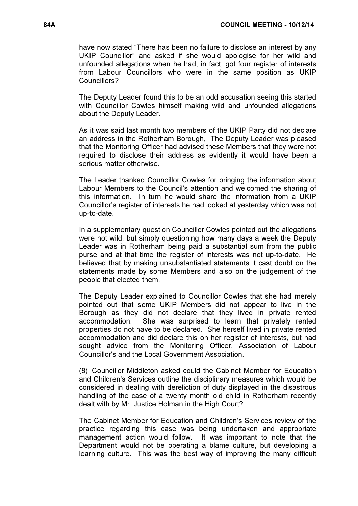have now stated "There has been no failure to disclose an interest by any UKIP Councillor" and asked if she would apologise for her wild and unfounded allegations when he had, in fact, got four register of interests from Labour Councillors who were in the same position as UKIP Councillors?

The Deputy Leader found this to be an odd accusation seeing this started with Councillor Cowles himself making wild and unfounded allegations about the Deputy Leader.

As it was said last month two members of the UKIP Party did not declare an address in the Rotherham Borough, The Deputy Leader was pleased that the Monitoring Officer had advised these Members that they were not required to disclose their address as evidently it would have been a serious matter otherwise.

The Leader thanked Councillor Cowles for bringing the information about Labour Members to the Council's attention and welcomed the sharing of this information. In turn he would share the information from a UKIP Councillor's register of interests he had looked at yesterday which was not up-to-date.

In a supplementary question Councillor Cowles pointed out the allegations were not wild, but simply questioning how many days a week the Deputy Leader was in Rotherham being paid a substantial sum from the public purse and at that time the register of interests was not up-to-date. He believed that by making unsubstantiated statements it cast doubt on the statements made by some Members and also on the judgement of the people that elected them.

The Deputy Leader explained to Councillor Cowles that she had merely pointed out that some UKIP Members did not appear to live in the Borough as they did not declare that they lived in private rented accommodation. She was surprised to learn that privately rented properties do not have to be declared. She herself lived in private rented accommodation and did declare this on her register of interests, but had sought advice from the Monitoring Officer, Association of Labour Councillor's and the Local Government Association.

(8) Councillor Middleton asked could the Cabinet Member for Education and Children's Services outline the disciplinary measures which would be considered in dealing with dereliction of duty displayed in the disastrous handling of the case of a twenty month old child in Rotherham recently dealt with by Mr. Justice Holman in the High Court?

The Cabinet Member for Education and Children's Services review of the practice regarding this case was being undertaken and appropriate management action would follow. It was important to note that the Department would not be operating a blame culture, but developing a learning culture. This was the best way of improving the many difficult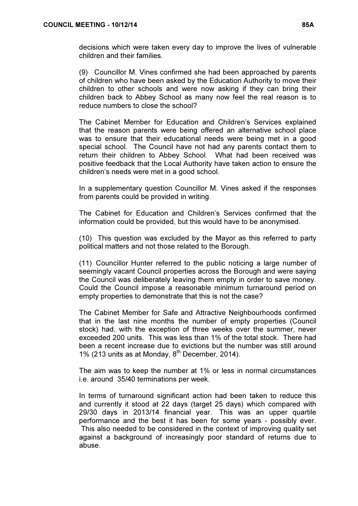decisions which were taken every day to improve the lives of vulnerable children and their families.

(9) Councillor M. Vines confirmed she had been approached by parents of children who have been asked by the Education Authority to move their children to other schools and were now asking if they can bring their children back to Abbey School as many now feel the real reason is to reduce numbers to close the school?

The Cabinet Member for Education and Children's Services explained that the reason parents were being offered an alternative school place was to ensure that their educational needs were being met in a good special school. The Council have not had any parents contact them to return their children to Abbey School. What had been received was positive feedback that the Local Authority have taken action to ensure the children's needs were met in a good school.

In a supplementary question Councillor M. Vines asked if the responses from parents could be provided in writing.

The Cabinet for Education and Children's Services confirmed that the information could be provided, but this would have to be anonymised.

(10) This question was excluded by the Mayor as this referred to party political matters and not those related to the Borough.

(11) Councillor Hunter referred to the public noticing a large number of seemingly vacant Council properties across the Borough and were saying the Council was deliberately leaving them empty in order to save money. Could the Council impose a reasonable minimum turnaround period on empty properties to demonstrate that this is not the case?

The Cabinet Member for Safe and Attractive Neighbourhoods confirmed that in the last nine months the number of empty properties (Council stock) had, with the exception of three weeks over the summer, never exceeded 200 units. This was less than 1% of the total stock. There had been a recent increase due to evictions but the number was still around 1% (213 units as at Monday,  $8<sup>th</sup>$  December, 2014).

The aim was to keep the number at 1% or less in normal circumstances i.e. around 35/40 terminations per week.

In terms of turnaround significant action had been taken to reduce this and currently it stood at 22 days (target 25 days) which compared with 29/30 days in 2013/14 financial year. This was an upper quartile performance and the best it has been for some years - possibly ever. This also needed to be considered in the context of improving quality set against a background of increasingly poor standard of returns due to abuse.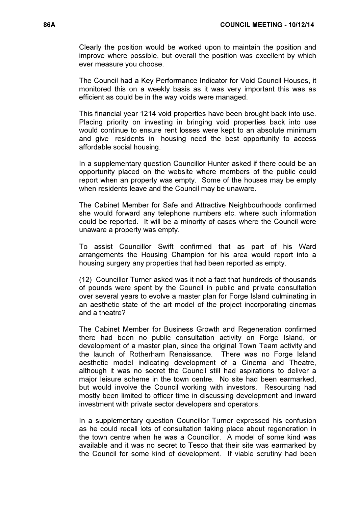Clearly the position would be worked upon to maintain the position and improve where possible, but overall the position was excellent by which ever measure you choose.

The Council had a Key Performance Indicator for Void Council Houses, it monitored this on a weekly basis as it was very important this was as efficient as could be in the way voids were managed.

This financial year 1214 void properties have been brought back into use. Placing priority on investing in bringing void properties back into use would continue to ensure rent losses were kept to an absolute minimum and give residents in housing need the best opportunity to access affordable social housing.

In a supplementary question Councillor Hunter asked if there could be an opportunity placed on the website where members of the public could report when an property was empty. Some of the houses may be empty when residents leave and the Council may be unaware.

The Cabinet Member for Safe and Attractive Neighbourhoods confirmed she would forward any telephone numbers etc. where such information could be reported. It will be a minority of cases where the Council were unaware a property was empty.

To assist Councillor Swift confirmed that as part of his Ward arrangements the Housing Champion for his area would report into a housing surgery any properties that had been reported as empty.

(12) Councillor Turner asked was it not a fact that hundreds of thousands of pounds were spent by the Council in public and private consultation over several years to evolve a master plan for Forge Island culminating in an aesthetic state of the art model of the project incorporating cinemas and a theatre?

The Cabinet Member for Business Growth and Regeneration confirmed there had been no public consultation activity on Forge Island, or development of a master plan, since the original Town Team activity and the launch of Rotherham Renaissance. There was no Forge Island aesthetic model indicating development of a Cinema and Theatre, although it was no secret the Council still had aspirations to deliver a major leisure scheme in the town centre. No site had been earmarked, but would involve the Council working with investors. Resourcing had mostly been limited to officer time in discussing development and inward investment with private sector developers and operators.

In a supplementary question Councillor Turner expressed his confusion as he could recall lots of consultation taking place about regeneration in the town centre when he was a Councillor. A model of some kind was available and it was no secret to Tesco that their site was earmarked by the Council for some kind of development. If viable scrutiny had been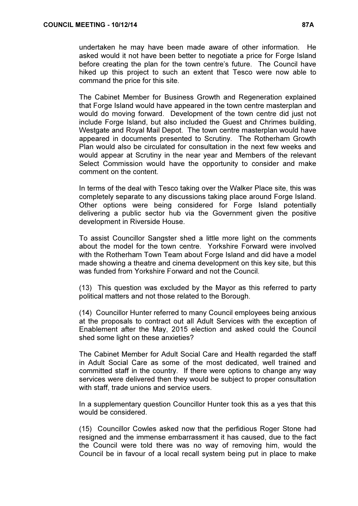The Cabinet Member for Business Growth and Regeneration explained that Forge Island would have appeared in the town centre masterplan and would do moving forward. Development of the town centre did just not include Forge Island, but also included the Guest and Chrimes building, Westgate and Royal Mail Depot. The town centre masterplan would have appeared in documents presented to Scrutiny. The Rotherham Growth Plan would also be circulated for consultation in the next few weeks and would appear at Scrutiny in the near year and Members of the relevant Select Commission would have the opportunity to consider and make comment on the content.

In terms of the deal with Tesco taking over the Walker Place site, this was completely separate to any discussions taking place around Forge Island. Other options were being considered for Forge Island potentially delivering a public sector hub via the Government given the positive development in Riverside House.

To assist Councillor Sangster shed a little more light on the comments about the model for the town centre. Yorkshire Forward were involved with the Rotherham Town Team about Forge Island and did have a model made showing a theatre and cinema development on this key site, but this was funded from Yorkshire Forward and not the Council.

(13) This question was excluded by the Mayor as this referred to party political matters and not those related to the Borough.

(14) Councillor Hunter referred to many Council employees being anxious at the proposals to contract out all Adult Services with the exception of Enablement after the May, 2015 election and asked could the Council shed some light on these anxieties?

The Cabinet Member for Adult Social Care and Health regarded the staff in Adult Social Care as some of the most dedicated, well trained and committed staff in the country. If there were options to change any way services were delivered then they would be subject to proper consultation with staff, trade unions and service users.

In a supplementary question Councillor Hunter took this as a yes that this would be considered.

(15) Councillor Cowles asked now that the perfidious Roger Stone had resigned and the immense embarrassment it has caused, due to the fact the Council were told there was no way of removing him, would the Council be in favour of a local recall system being put in place to make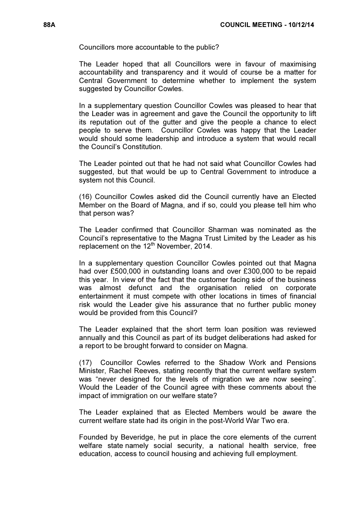Councillors more accountable to the public?

The Leader hoped that all Councillors were in favour of maximising accountability and transparency and it would of course be a matter for Central Government to determine whether to implement the system suggested by Councillor Cowles.

In a supplementary question Councillor Cowles was pleased to hear that the Leader was in agreement and gave the Council the opportunity to lift its reputation out of the gutter and give the people a chance to elect people to serve them. Councillor Cowles was happy that the Leader would should some leadership and introduce a system that would recall the Council's Constitution.

The Leader pointed out that he had not said what Councillor Cowles had suggested, but that would be up to Central Government to introduce a system not this Council.

(16) Councillor Cowles asked did the Council currently have an Elected Member on the Board of Magna, and if so, could you please tell him who that person was?

The Leader confirmed that Councillor Sharman was nominated as the Council's representative to the Magna Trust Limited by the Leader as his replacement on the 12<sup>th</sup> November, 2014.

In a supplementary question Councillor Cowles pointed out that Magna had over £500,000 in outstanding loans and over £300,000 to be repaid this year. In view of the fact that the customer facing side of the business was almost defunct and the organisation relied on corporate entertainment it must compete with other locations in times of financial risk would the Leader give his assurance that no further public money would be provided from this Council?

The Leader explained that the short term loan position was reviewed annually and this Council as part of its budget deliberations had asked for a report to be brought forward to consider on Magna.

(17) Councillor Cowles referred to the Shadow Work and Pensions Minister, Rachel Reeves, stating recently that the current welfare system was "never designed for the levels of migration we are now seeing". Would the Leader of the Council agree with these comments about the impact of immigration on our welfare state?

The Leader explained that as Elected Members would be aware the current welfare state had its origin in the post-World War Two era.

Founded by Beveridge, he put in place the core elements of the current welfare state namely social security, a national health service, free education, access to council housing and achieving full employment.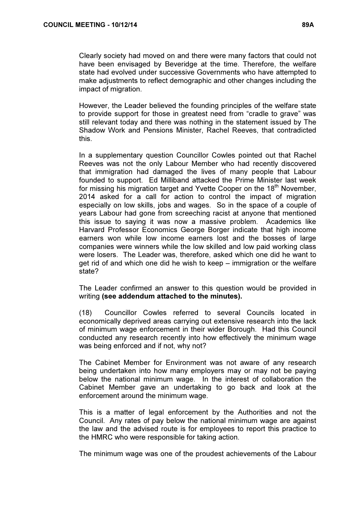Clearly society had moved on and there were many factors that could not have been envisaged by Beveridge at the time. Therefore, the welfare state had evolved under successive Governments who have attempted to make adjustments to reflect demographic and other changes including the impact of migration.

However, the Leader believed the founding principles of the welfare state to provide support for those in greatest need from "cradle to grave" was still relevant today and there was nothing in the statement issued by The Shadow Work and Pensions Minister, Rachel Reeves, that contradicted this.

In a supplementary question Councillor Cowles pointed out that Rachel Reeves was not the only Labour Member who had recently discovered that immigration had damaged the lives of many people that Labour founded to support. Ed Milliband attacked the Prime Minister last week for missing his migration target and Yvette Cooper on the 18<sup>th</sup> November. 2014 asked for a call for action to control the impact of migration especially on low skills, jobs and wages. So in the space of a couple of years Labour had gone from screeching racist at anyone that mentioned this issue to saying it was now a massive problem. Academics like Harvard Professor Economics George Borger indicate that high income earners won while low income earners lost and the bosses of large companies were winners while the low skilled and low paid working class were losers. The Leader was, therefore, asked which one did he want to get rid of and which one did he wish to keep – immigration or the welfare state?

The Leader confirmed an answer to this question would be provided in writing (see addendum attached to the minutes).

(18) Councillor Cowles referred to several Councils located in economically deprived areas carrying out extensive research into the lack of minimum wage enforcement in their wider Borough. Had this Council conducted any research recently into how effectively the minimum wage was being enforced and if not, why not?

The Cabinet Member for Environment was not aware of any research being undertaken into how many employers may or may not be paying below the national minimum wage. In the interest of collaboration the Cabinet Member gave an undertaking to go back and look at the enforcement around the minimum wage.

This is a matter of legal enforcement by the Authorities and not the Council. Any rates of pay below the national minimum wage are against the law and the advised route is for employees to report this practice to the HMRC who were responsible for taking action.

The minimum wage was one of the proudest achievements of the Labour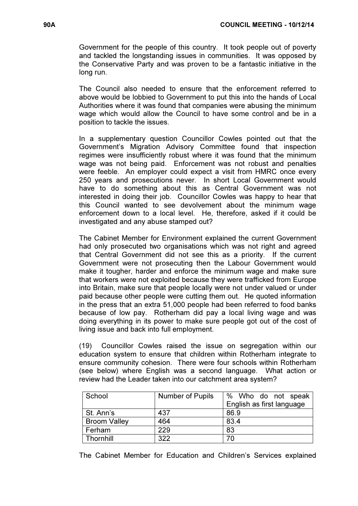Government for the people of this country. It took people out of poverty and tackled the longstanding issues in communities. It was opposed by the Conservative Party and was proven to be a fantastic initiative in the long run.

The Council also needed to ensure that the enforcement referred to above would be lobbied to Government to put this into the hands of Local Authorities where it was found that companies were abusing the minimum wage which would allow the Council to have some control and be in a position to tackle the issues.

In a supplementary question Councillor Cowles pointed out that the Government's Migration Advisory Committee found that inspection regimes were insufficiently robust where it was found that the minimum wage was not being paid. Enforcement was not robust and penalties were feeble. An employer could expect a visit from HMRC once every 250 years and prosecutions never. In short Local Government would have to do something about this as Central Government was not interested in doing their job. Councillor Cowles was happy to hear that this Council wanted to see devolvement about the minimum wage enforcement down to a local level. He, therefore, asked if it could be investigated and any abuse stamped out?

The Cabinet Member for Environment explained the current Government had only prosecuted two organisations which was not right and agreed that Central Government did not see this as a priority. If the current Government were not prosecuting then the Labour Government would make it tougher, harder and enforce the minimum wage and make sure that workers were not exploited because they were trafficked from Europe into Britain, make sure that people locally were not under valued or under paid because other people were cutting them out. He quoted information in the press that an extra 51,000 people had been referred to food banks because of low pay. Rotherham did pay a local living wage and was doing everything in its power to make sure people got out of the cost of living issue and back into full employment.

(19) Councillor Cowles raised the issue on segregation within our education system to ensure that children within Rotherham integrate to ensure community cohesion. There were four schools within Rotherham (see below) where English was a second language. What action or review had the Leader taken into our catchment area system?

| School              | <b>Number of Pupils</b> | % Who do not speak        |
|---------------------|-------------------------|---------------------------|
|                     |                         | English as first language |
| St. Ann's           | 437                     | 86.9                      |
| <b>Broom Valley</b> | 464                     | 83.4                      |
| Ferham              | 229                     | 83                        |
| Thornhill           | 322                     | 70                        |

The Cabinet Member for Education and Children's Services explained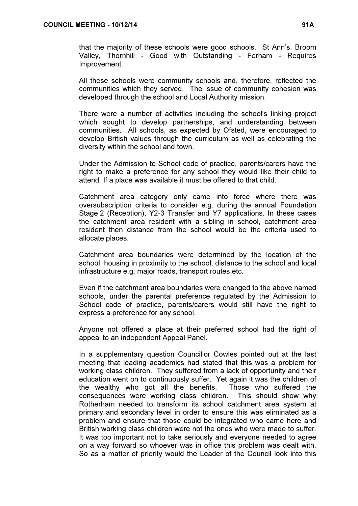that the majority of these schools were good schools. St Ann's, Broom Valley, Thornhill - Good with Outstanding - Ferham - Requires Improvement.

All these schools were community schools and, therefore, reflected the communities which they served. The issue of community cohesion was developed through the school and Local Authority mission.

There were a number of activities including the school's linking project which sought to develop partnerships, and understanding between communities. All schools, as expected by Ofsted, were encouraged to develop British values through the curriculum as well as celebrating the diversity within the school and town.

Under the Admission to School code of practice, parents/carers have the right to make a preference for any school they would like their child to attend. If a place was available it must be offered to that child.

Catchment area category only came into force where there was oversubscription criteria to consider e.g. during the annual Foundation Stage 2 (Reception), Y2-3 Transfer and Y7 applications. In these cases the catchment area resident with a sibling in school, catchment area resident then distance from the school would be the criteria used to allocate places.

Catchment area boundaries were determined by the location of the school, housing in proximity to the school, distance to the school and local infrastructure e.g. major roads, transport routes etc.

Even if the catchment area boundaries were changed to the above named schools, under the parental preference regulated by the Admission to School code of practice, parents/carers would still have the right to express a preference for any school.

Anyone not offered a place at their preferred school had the right of appeal to an independent Appeal Panel.

In a supplementary question Councillor Cowles pointed out at the last meeting that leading academics had stated that this was a problem for working class children. They suffered from a lack of opportunity and their education went on to continuously suffer. Yet again it was the children of the wealthy who got all the benefits. Those who suffered the consequences were working class children. This should show why Rotherham needed to transform its school catchment area system at primary and secondary level in order to ensure this was eliminated as a problem and ensure that those could be integrated who came here and British working class children were not the ones who were made to suffer. It was too important not to take seriously and everyone needed to agree on a way forward so whoever was in office this problem was dealt with. So as a matter of priority would the Leader of the Council look into this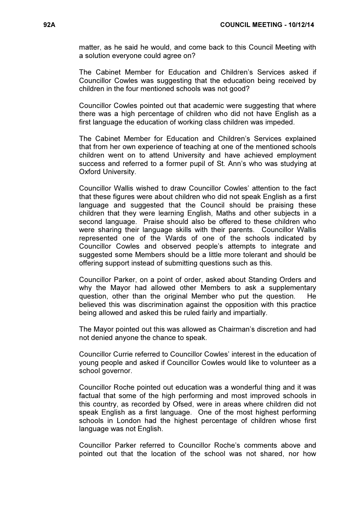matter, as he said he would, and come back to this Council Meeting with a solution everyone could agree on?

The Cabinet Member for Education and Children's Services asked if Councillor Cowles was suggesting that the education being received by children in the four mentioned schools was not good?

Councillor Cowles pointed out that academic were suggesting that where there was a high percentage of children who did not have English as a first language the education of working class children was impeded.

The Cabinet Member for Education and Children's Services explained that from her own experience of teaching at one of the mentioned schools children went on to attend University and have achieved employment success and referred to a former pupil of St. Ann's who was studying at Oxford University.

Councillor Wallis wished to draw Councillor Cowles' attention to the fact that these figures were about children who did not speak English as a first language and suggested that the Council should be praising these children that they were learning English, Maths and other subjects in a second language. Praise should also be offered to these children who were sharing their language skills with their parents. Councillor Wallis represented one of the Wards of one of the schools indicated by Councillor Cowles and observed people's attempts to integrate and suggested some Members should be a little more tolerant and should be offering support instead of submitting questions such as this.

Councillor Parker, on a point of order, asked about Standing Orders and why the Mayor had allowed other Members to ask a supplementary question, other than the original Member who put the question. He believed this was discrimination against the opposition with this practice being allowed and asked this be ruled fairly and impartially.

The Mayor pointed out this was allowed as Chairman's discretion and had not denied anyone the chance to speak.

Councillor Currie referred to Councillor Cowles' interest in the education of young people and asked if Councillor Cowles would like to volunteer as a school governor.

Councillor Roche pointed out education was a wonderful thing and it was factual that some of the high performing and most improved schools in this country, as recorded by Ofsed, were in areas where children did not speak English as a first language. One of the most highest performing schools in London had the highest percentage of children whose first language was not English.

Councillor Parker referred to Councillor Roche's comments above and pointed out that the location of the school was not shared, nor how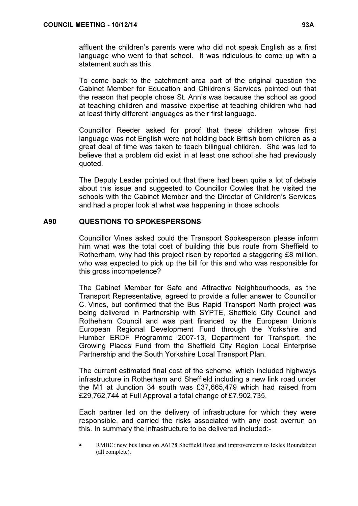affluent the children's parents were who did not speak English as a first language who went to that school. It was ridiculous to come up with a statement such as this.

To come back to the catchment area part of the original question the Cabinet Member for Education and Children's Services pointed out that the reason that people chose St. Ann's was because the school as good at teaching children and massive expertise at teaching children who had at least thirty different languages as their first language.

Councillor Reeder asked for proof that these children whose first language was not English were not holding back British born children as a great deal of time was taken to teach bilingual children. She was led to believe that a problem did exist in at least one school she had previously quoted.

The Deputy Leader pointed out that there had been quite a lot of debate about this issue and suggested to Councillor Cowles that he visited the schools with the Cabinet Member and the Director of Children's Services and had a proper look at what was happening in those schools.

### A90 QUESTIONS TO SPOKESPERSONS

Councillor Vines asked could the Transport Spokesperson please inform him what was the total cost of building this bus route from Sheffield to Rotherham, why had this project risen by reported a staggering £8 million, who was expected to pick up the bill for this and who was responsible for this gross incompetence?

The Cabinet Member for Safe and Attractive Neighbourhoods, as the Transport Representative, agreed to provide a fuller answer to Councillor C. Vines, but confirmed that the Bus Rapid Transport North project was being delivered in Partnership with SYPTE, Sheffield City Council and Rotheham Council and was part financed by the European Union's European Regional Development Fund through the Yorkshire and Humber ERDF Programme 2007-13, Department for Transport, the Growing Places Fund from the Sheffield City Region Local Enterprise Partnership and the South Yorkshire Local Transport Plan.

The current estimated final cost of the scheme, which included highways infrastructure in Rotherham and Sheffield including a new link road under the M1 at Junction 34 south was £37,665,479 which had raised from £29,762,744 at Full Approval a total change of £7,902,735.

Each partner led on the delivery of infrastructure for which they were responsible, and carried the risks associated with any cost overrun on this. In summary the infrastructure to be delivered included:-

• RMBC: new bus lanes on A6178 Sheffield Road and improvements to Ickles Roundabout (all complete).